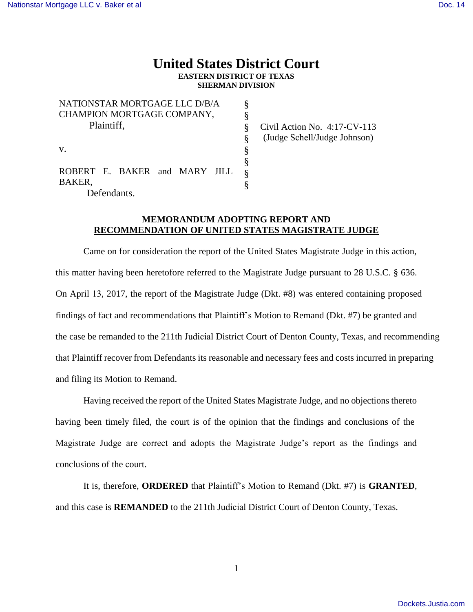## **United States District Court EASTERN DISTRICT OF TEXAS SHERMAN DIVISION**

| NATIONSTAR MORTGAGE LLC D/B/A |   |  |
|-------------------------------|---|--|
| CHAMPION MORTGAGE COMPANY,    | ş |  |
| Plaintiff,                    | ş |  |
|                               | Ş |  |
| $V_{\cdot}$                   | ş |  |
|                               | § |  |
| ROBERT E. BAKER and MARY JILL | 8 |  |
| BAKER,                        |   |  |
| Defendants.                   |   |  |

Civil Action No. 4:17-CV-113 (Judge Schell/Judge Johnson)

## **MEMORANDUM ADOPTING REPORT AND RECOMMENDATION OF UNITED STATES MAGISTRATE JUDGE**

Came on for consideration the report of the United States Magistrate Judge in this action, this matter having been heretofore referred to the Magistrate Judge pursuant to 28 U.S.C. § 636. On April 13, 2017, the report of the Magistrate Judge (Dkt. #8) was entered containing proposed findings of fact and recommendations that Plaintiff's Motion to Remand (Dkt. #7) be granted and the case be remanded to the 211th Judicial District Court of Denton County, Texas, and recommending that Plaintiff recover from Defendants its reasonable and necessary fees and costs incurred in preparing and filing its Motion to Remand.

Having received the report of the United States Magistrate Judge, and no objections thereto having been timely filed, the court is of the opinion that the findings and conclusions of the Magistrate Judge are correct and adopts the Magistrate Judge's report as the findings and conclusions of the court.

It is, therefore, **ORDERED** that Plaintiff's Motion to Remand (Dkt. #7) is **GRANTED**, and this case is **REMANDED** to the 211th Judicial District Court of Denton County, Texas.